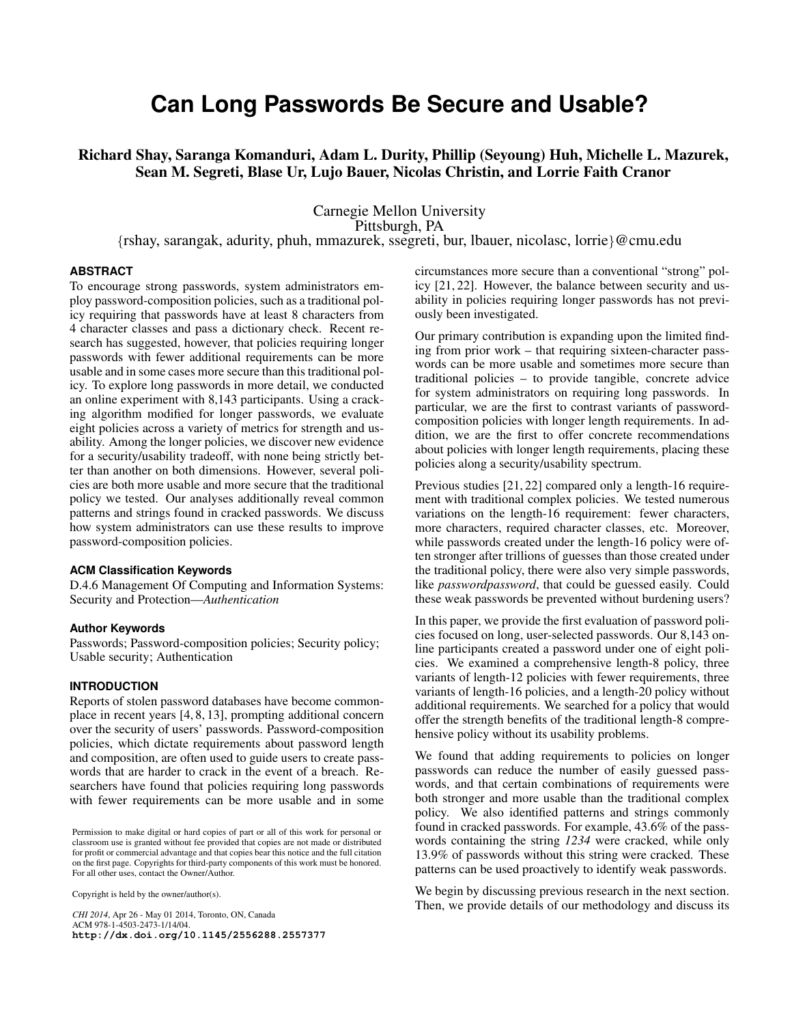# **Can Long Passwords Be Secure and Usable?**

Richard Shay, Saranga Komanduri, Adam L. Durity, Phillip (Seyoung) Huh, Michelle L. Mazurek, Sean M. Segreti, Blase Ur, Lujo Bauer, Nicolas Christin, and Lorrie Faith Cranor

Carnegie Mellon University Pittsburgh, PA {rshay, sarangak, adurity, phuh, mmazurek, ssegreti, bur, lbauer, nicolasc, lorrie}@cmu.edu

#### **ABSTRACT**

To encourage strong passwords, system administrators employ password-composition policies, such as a traditional policy requiring that passwords have at least 8 characters from 4 character classes and pass a dictionary check. Recent research has suggested, however, that policies requiring longer passwords with fewer additional requirements can be more usable and in some cases more secure than this traditional policy. To explore long passwords in more detail, we conducted an online experiment with 8,143 participants. Using a cracking algorithm modified for longer passwords, we evaluate eight policies across a variety of metrics for strength and usability. Among the longer policies, we discover new evidence for a security/usability tradeoff, with none being strictly better than another on both dimensions. However, several policies are both more usable and more secure that the traditional policy we tested. Our analyses additionally reveal common patterns and strings found in cracked passwords. We discuss how system administrators can use these results to improve password-composition policies.

#### **ACM Classification Keywords**

D.4.6 Management Of Computing and Information Systems: Security and Protection—*Authentication*

# **Author Keywords**

Passwords; Password-composition policies; Security policy; Usable security; Authentication

# **INTRODUCTION**

Reports of stolen password databases have become commonplace in recent years [\[4,](#page-8-0) [8,](#page-9-0) [13\]](#page-9-1), prompting additional concern over the security of users' passwords. Password-composition policies, which dictate requirements about password length and composition, are often used to guide users to create passwords that are harder to crack in the event of a breach. Researchers have found that policies requiring long passwords with fewer requirements can be more usable and in some

Copyright is held by the owner/author(s).

*CHI 2014*, Apr 26 - May 01 2014, Toronto, ON, Canada ACM 978-1-4503-2473-1/14/04. **<http://dx.doi.org/10.1145/2556288.2557377>** circumstances more secure than a conventional "strong" policy [\[21,](#page-9-2) [22\]](#page-9-3). However, the balance between security and usability in policies requiring longer passwords has not previously been investigated.

Our primary contribution is expanding upon the limited finding from prior work – that requiring sixteen-character passwords can be more usable and sometimes more secure than traditional policies – to provide tangible, concrete advice for system administrators on requiring long passwords. In particular, we are the first to contrast variants of passwordcomposition policies with longer length requirements. In addition, we are the first to offer concrete recommendations about policies with longer length requirements, placing these policies along a security/usability spectrum.

Previous studies [\[21,](#page-9-2) [22\]](#page-9-3) compared only a length-16 requirement with traditional complex policies. We tested numerous variations on the length-16 requirement: fewer characters, more characters, required character classes, etc. Moreover, while passwords created under the length-16 policy were often stronger after trillions of guesses than those created under the traditional policy, there were also very simple passwords, like *passwordpassword*, that could be guessed easily. Could these weak passwords be prevented without burdening users?

In this paper, we provide the first evaluation of password policies focused on long, user-selected passwords. Our 8,143 online participants created a password under one of eight policies. We examined a comprehensive length-8 policy, three variants of length-12 policies with fewer requirements, three variants of length-16 policies, and a length-20 policy without additional requirements. We searched for a policy that would offer the strength benefits of the traditional length-8 comprehensive policy without its usability problems.

We found that adding requirements to policies on longer passwords can reduce the number of easily guessed passwords, and that certain combinations of requirements were both stronger and more usable than the traditional complex policy. We also identified patterns and strings commonly found in cracked passwords. For example, 43.6% of the passwords containing the string *1234* were cracked, while only 13.9% of passwords without this string were cracked. These patterns can be used proactively to identify weak passwords.

We begin by discussing previous research in the next section. Then, we provide details of our methodology and discuss its

Permission to make digital or hard copies of part or all of this work for personal or classroom use is granted without fee provided that copies are not made or distributed for profit or commercial advantage and that copies bear this notice and the full citation on the first page. Copyrights for third-party components of this work must be honored. For all other uses, contact the Owner/Author.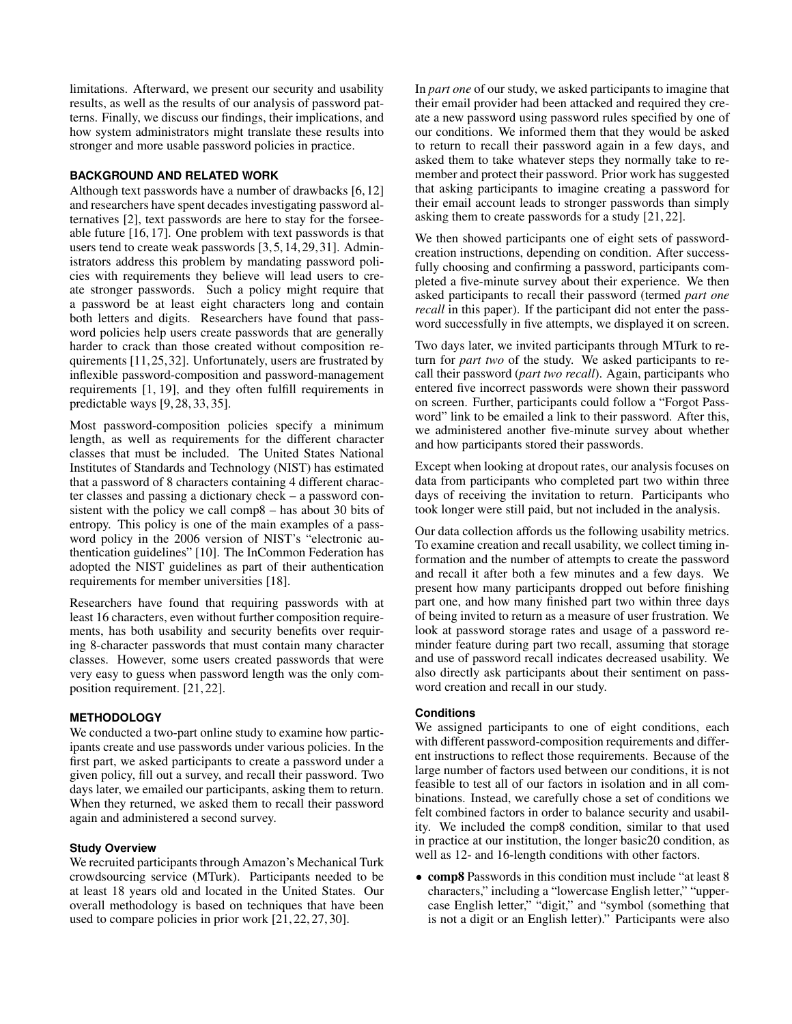limitations. Afterward, we present our security and usability results, as well as the results of our analysis of password patterns. Finally, we discuss our findings, their implications, and how system administrators might translate these results into stronger and more usable password policies in practice.

# **BACKGROUND AND RELATED WORK**

Although text passwords have a number of drawbacks [\[6,](#page-9-4) [12\]](#page-9-5) and researchers have spent decades investigating password alternatives [\[2\]](#page-8-1), text passwords are here to stay for the forseeable future [\[16,](#page-9-6) [17\]](#page-9-7). One problem with text passwords is that users tend to create weak passwords [\[3,](#page-8-2)[5,](#page-9-8)[14,](#page-9-9)[29,](#page-9-10)[31\]](#page-9-11). Administrators address this problem by mandating password policies with requirements they believe will lead users to create stronger passwords. Such a policy might require that a password be at least eight characters long and contain both letters and digits. Researchers have found that password policies help users create passwords that are generally harder to crack than those created without composition requirements [\[11,](#page-9-12)[25,](#page-9-13)[32\]](#page-9-14). Unfortunately, users are frustrated by inflexible password-composition and password-management requirements [\[1,](#page-8-3) [19\]](#page-9-15), and they often fulfill requirements in predictable ways [\[9,](#page-9-16) [28,](#page-9-17) [33,](#page-9-18) [35\]](#page-9-19).

Most password-composition policies specify a minimum length, as well as requirements for the different character classes that must be included. The United States National Institutes of Standards and Technology (NIST) has estimated that a password of 8 characters containing 4 different character classes and passing a dictionary check – a password consistent with the policy we call comp8 – has about 30 bits of entropy. This policy is one of the main examples of a password policy in the 2006 version of NIST's "electronic authentication guidelines" [\[10\]](#page-9-20). The InCommon Federation has adopted the NIST guidelines as part of their authentication requirements for member universities [\[18\]](#page-9-21).

Researchers have found that requiring passwords with at least 16 characters, even without further composition requirements, has both usability and security benefits over requiring 8-character passwords that must contain many character classes. However, some users created passwords that were very easy to guess when password length was the only composition requirement. [\[21,](#page-9-2) [22\]](#page-9-3).

# **METHODOLOGY**

We conducted a two-part online study to examine how participants create and use passwords under various policies. In the first part, we asked participants to create a password under a given policy, fill out a survey, and recall their password. Two days later, we emailed our participants, asking them to return. When they returned, we asked them to recall their password again and administered a second survey.

#### **Study Overview**

We recruited participants through Amazon's Mechanical Turk crowdsourcing service (MTurk). Participants needed to be at least 18 years old and located in the United States. Our overall methodology is based on techniques that have been used to compare policies in prior work [\[21,](#page-9-2) [22,](#page-9-3) [27,](#page-9-22) [30\]](#page-9-23).

In *part one* of our study, we asked participants to imagine that their email provider had been attacked and required they create a new password using password rules specified by one of our conditions. We informed them that they would be asked to return to recall their password again in a few days, and asked them to take whatever steps they normally take to remember and protect their password. Prior work has suggested that asking participants to imagine creating a password for their email account leads to stronger passwords than simply asking them to create passwords for a study [\[21,](#page-9-2) [22\]](#page-9-3).

We then showed participants one of eight sets of passwordcreation instructions, depending on condition. After successfully choosing and confirming a password, participants completed a five-minute survey about their experience. We then asked participants to recall their password (termed *part one recall* in this paper). If the participant did not enter the password successfully in five attempts, we displayed it on screen.

Two days later, we invited participants through MTurk to return for *part two* of the study. We asked participants to recall their password (*part two recall*). Again, participants who entered five incorrect passwords were shown their password on screen. Further, participants could follow a "Forgot Password" link to be emailed a link to their password. After this, we administered another five-minute survey about whether and how participants stored their passwords.

Except when looking at dropout rates, our analysis focuses on data from participants who completed part two within three days of receiving the invitation to return. Participants who took longer were still paid, but not included in the analysis.

Our data collection affords us the following usability metrics. To examine creation and recall usability, we collect timing information and the number of attempts to create the password and recall it after both a few minutes and a few days. We present how many participants dropped out before finishing part one, and how many finished part two within three days of being invited to return as a measure of user frustration. We look at password storage rates and usage of a password reminder feature during part two recall, assuming that storage and use of password recall indicates decreased usability. We also directly ask participants about their sentiment on password creation and recall in our study.

#### **Conditions**

We assigned participants to one of eight conditions, each with different password-composition requirements and different instructions to reflect those requirements. Because of the large number of factors used between our conditions, it is not feasible to test all of our factors in isolation and in all combinations. Instead, we carefully chose a set of conditions we felt combined factors in order to balance security and usability. We included the comp8 condition, similar to that used in practice at our institution, the longer basic20 condition, as well as 12- and 16-length conditions with other factors.

• comp8 Passwords in this condition must include "at least 8 characters," including a "lowercase English letter," "uppercase English letter," "digit," and "symbol (something that is not a digit or an English letter)." Participants were also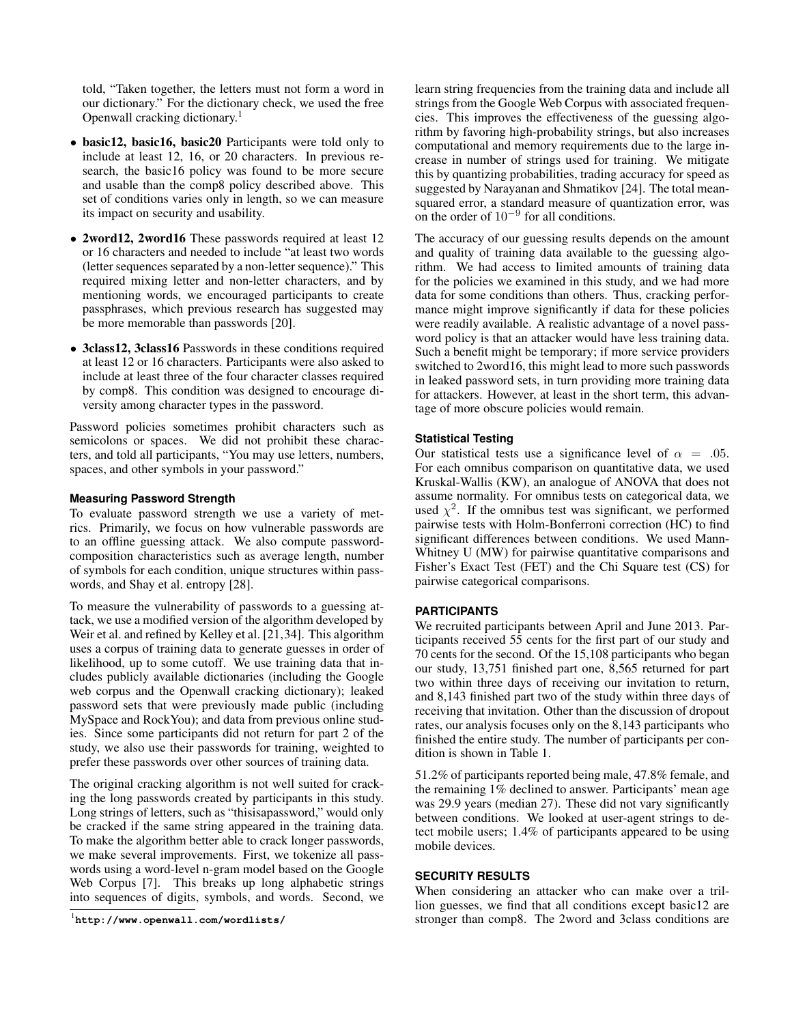told, "Taken together, the letters must not form a word in our dictionary." For the dictionary check, we used the free Openwall cracking dictionary.[1](#page-2-0)

- basic12, basic16, basic20 Participants were told only to include at least 12, 16, or 20 characters. In previous research, the basic16 policy was found to be more secure and usable than the comp8 policy described above. This set of conditions varies only in length, so we can measure its impact on security and usability.
- 2word12, 2word16 These passwords required at least 12 or 16 characters and needed to include "at least two words (letter sequences separated by a non-letter sequence)." This required mixing letter and non-letter characters, and by mentioning words, we encouraged participants to create passphrases, which previous research has suggested may be more memorable than passwords [\[20\]](#page-9-24).
- 3class12, 3class16 Passwords in these conditions required at least 12 or 16 characters. Participants were also asked to include at least three of the four character classes required by comp8. This condition was designed to encourage diversity among character types in the password.

Password policies sometimes prohibit characters such as semicolons or spaces. We did not prohibit these characters, and told all participants, "You may use letters, numbers, spaces, and other symbols in your password."

## **Measuring Password Strength**

To evaluate password strength we use a variety of metrics. Primarily, we focus on how vulnerable passwords are to an offline guessing attack. We also compute passwordcomposition characteristics such as average length, number of symbols for each condition, unique structures within passwords, and Shay et al. entropy [\[28\]](#page-9-17).

To measure the vulnerability of passwords to a guessing attack, we use a modified version of the algorithm developed by Weir et al. and refined by Kelley et al. [\[21,](#page-9-2)[34\]](#page-9-25). This algorithm uses a corpus of training data to generate guesses in order of likelihood, up to some cutoff. We use training data that includes publicly available dictionaries (including the Google web corpus and the Openwall cracking dictionary); leaked password sets that were previously made public (including MySpace and RockYou); and data from previous online studies. Since some participants did not return for part 2 of the study, we also use their passwords for training, weighted to prefer these passwords over other sources of training data.

The original cracking algorithm is not well suited for cracking the long passwords created by participants in this study. Long strings of letters, such as "thisisapassword," would only be cracked if the same string appeared in the training data. To make the algorithm better able to crack longer passwords, we make several improvements. First, we tokenize all passwords using a word-level n-gram model based on the Google Web Corpus [\[7\]](#page-9-26). This breaks up long alphabetic strings into sequences of digits, symbols, and words. Second, we learn string frequencies from the training data and include all strings from the Google Web Corpus with associated frequencies. This improves the effectiveness of the guessing algorithm by favoring high-probability strings, but also increases computational and memory requirements due to the large increase in number of strings used for training. We mitigate this by quantizing probabilities, trading accuracy for speed as suggested by Narayanan and Shmatikov [\[24\]](#page-9-27). The total meansquared error, a standard measure of quantization error, was on the order of  $10^{-9}$  for all conditions.

The accuracy of our guessing results depends on the amount and quality of training data available to the guessing algorithm. We had access to limited amounts of training data for the policies we examined in this study, and we had more data for some conditions than others. Thus, cracking performance might improve significantly if data for these policies were readily available. A realistic advantage of a novel password policy is that an attacker would have less training data. Such a benefit might be temporary; if more service providers switched to 2word16, this might lead to more such passwords in leaked password sets, in turn providing more training data for attackers. However, at least in the short term, this advantage of more obscure policies would remain.

## **Statistical Testing**

Our statistical tests use a significance level of  $\alpha = .05$ . For each omnibus comparison on quantitative data, we used Kruskal-Wallis (KW), an analogue of ANOVA that does not assume normality. For omnibus tests on categorical data, we used  $\chi^2$ . If the omnibus test was significant, we performed pairwise tests with Holm-Bonferroni correction (HC) to find significant differences between conditions. We used Mann-Whitney U (MW) for pairwise quantitative comparisons and Fisher's Exact Test (FET) and the Chi Square test (CS) for pairwise categorical comparisons.

#### **PARTICIPANTS**

We recruited participants between April and June 2013. Participants received 55 cents for the first part of our study and 70 cents for the second. Of the 15,108 participants who began our study, 13,751 finished part one, 8,565 returned for part two within three days of receiving our invitation to return, and 8,143 finished part two of the study within three days of receiving that invitation. Other than the discussion of dropout rates, our analysis focuses only on the 8,143 participants who finished the entire study. The number of participants per condition is shown in Table [1.](#page-3-0)

51.2% of participants reported being male, 47.8% female, and the remaining 1% declined to answer. Participants' mean age was 29.9 years (median 27). These did not vary significantly between conditions. We looked at user-agent strings to detect mobile users; 1.4% of participants appeared to be using mobile devices.

# **SECURITY RESULTS**

When considering an attacker who can make over a trillion guesses, we find that all conditions except basic12 are stronger than comp8. The 2word and 3class conditions are

<span id="page-2-0"></span><sup>1</sup> **<http://www.openwall.com/wordlists/>**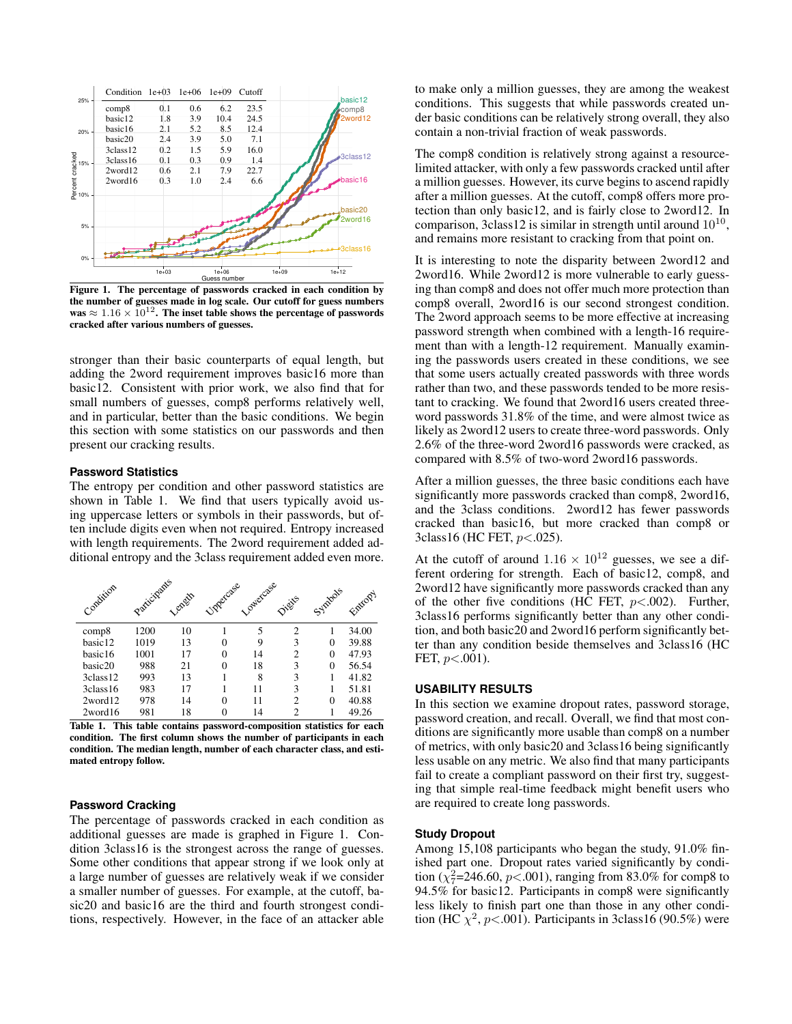

<span id="page-3-1"></span>Figure 1. The percentage of passwords cracked in each condition by the number of guesses made in log scale. Our cutoff for guess numbers was  $\approx 1.16 \times 10^{12}$ . The inset table shows the percentage of passwords cracked after various numbers of guesses.

stronger than their basic counterparts of equal length, but adding the 2word requirement improves basic16 more than basic12. Consistent with prior work, we also find that for small numbers of guesses, comp8 performs relatively well, and in particular, better than the basic conditions. We begin this section with some statistics on our passwords and then present our cracking results.

#### **Password Statistics**

The entropy per condition and other password statistics are shown in Table [1.](#page-3-0) We find that users typically avoid using uppercase letters or symbols in their passwords, but often include digits even when not required. Entropy increased with length requirements. The 2word requirement added additional entropy and the 3class requirement added even more.

| Condition            | Participarts | Length | Uppercase | Lowercase | Digits         | Symbols | Fattopy |
|----------------------|--------------|--------|-----------|-----------|----------------|---------|---------|
| comp8                | 1200         | 10     |           | 5         | $\overline{c}$ |         | 34.00   |
| basic12              | 1019         | 13     | 0         | 9         | 3              | 0       | 39.88   |
| basic16              | 1001         | 17     | 0         | 14        | $\overline{c}$ | 0       | 47.93   |
| basic20              | 988          | 21     | 0         | 18        | 3              | 0       | 56.54   |
| 3 <sub>class12</sub> | 993          | 13     |           | 8         | 3              |         | 41.82   |
| 3class16             | 983          | 17     |           | 11        | 3              |         | 51.81   |
| 2word12              | 978          | 14     | 0         | 11        | $\overline{c}$ | 0       | 40.88   |
| 2word16              | 981          | 18     | 0         | 14        | 2              |         | 49.26   |

<span id="page-3-0"></span>Table 1. This table contains password-composition statistics for each condition. The first column shows the number of participants in each condition. The median length, number of each character class, and estimated entropy follow.

#### **Password Cracking**

The percentage of passwords cracked in each condition as additional guesses are made is graphed in Figure [1.](#page-3-1) Condition 3class16 is the strongest across the range of guesses. Some other conditions that appear strong if we look only at a large number of guesses are relatively weak if we consider a smaller number of guesses. For example, at the cutoff, basic20 and basic16 are the third and fourth strongest conditions, respectively. However, in the face of an attacker able to make only a million guesses, they are among the weakest conditions. This suggests that while passwords created under basic conditions can be relatively strong overall, they also contain a non-trivial fraction of weak passwords.

The comp8 condition is relatively strong against a resourcelimited attacker, with only a few passwords cracked until after a million guesses. However, its curve begins to ascend rapidly after a million guesses. At the cutoff, comp8 offers more protection than only basic12, and is fairly close to 2word12. In comparison, 3class12 is similar in strength until around  $10^{10}$ , and remains more resistant to cracking from that point on.

It is interesting to note the disparity between 2word12 and 2word16. While 2word12 is more vulnerable to early guessing than comp8 and does not offer much more protection than comp8 overall, 2word16 is our second strongest condition. The 2word approach seems to be more effective at increasing password strength when combined with a length-16 requirement than with a length-12 requirement. Manually examining the passwords users created in these conditions, we see that some users actually created passwords with three words rather than two, and these passwords tended to be more resistant to cracking. We found that 2word16 users created threeword passwords 31.8% of the time, and were almost twice as likely as 2word12 users to create three-word passwords. Only 2.6% of the three-word 2word16 passwords were cracked, as compared with 8.5% of two-word 2word16 passwords.

After a million guesses, the three basic conditions each have significantly more passwords cracked than comp8, 2word16, and the 3class conditions. 2word12 has fewer passwords cracked than basic16, but more cracked than comp8 or 3class16 (HC FET,  $p < .025$ ).

At the cutoff of around  $1.16 \times 10^{12}$  guesses, we see a different ordering for strength. Each of basic12, comp8, and 2word12 have significantly more passwords cracked than any of the other five conditions (HC FET,  $p < .002$ ). Further, 3class16 performs significantly better than any other condition, and both basic20 and 2word16 perform significantly better than any condition beside themselves and 3class16 (HC FET,  $p<.001$ ).

# **USABILITY RESULTS**

In this section we examine dropout rates, password storage, password creation, and recall. Overall, we find that most conditions are significantly more usable than comp8 on a number of metrics, with only basic20 and 3class16 being significantly less usable on any metric. We also find that many participants fail to create a compliant password on their first try, suggesting that simple real-time feedback might benefit users who are required to create long passwords.

#### **Study Dropout**

Among 15,108 participants who began the study, 91.0% finished part one. Dropout rates varied significantly by condition ( $\chi^2$ =246.60, *p*<.001), ranging from 83.0% for comp8 to 94.5% for basic12. Participants in comp8 were significantly less likely to finish part one than those in any other condition (HC  $\chi^2$ , p<.001). Participants in 3class16 (90.5%) were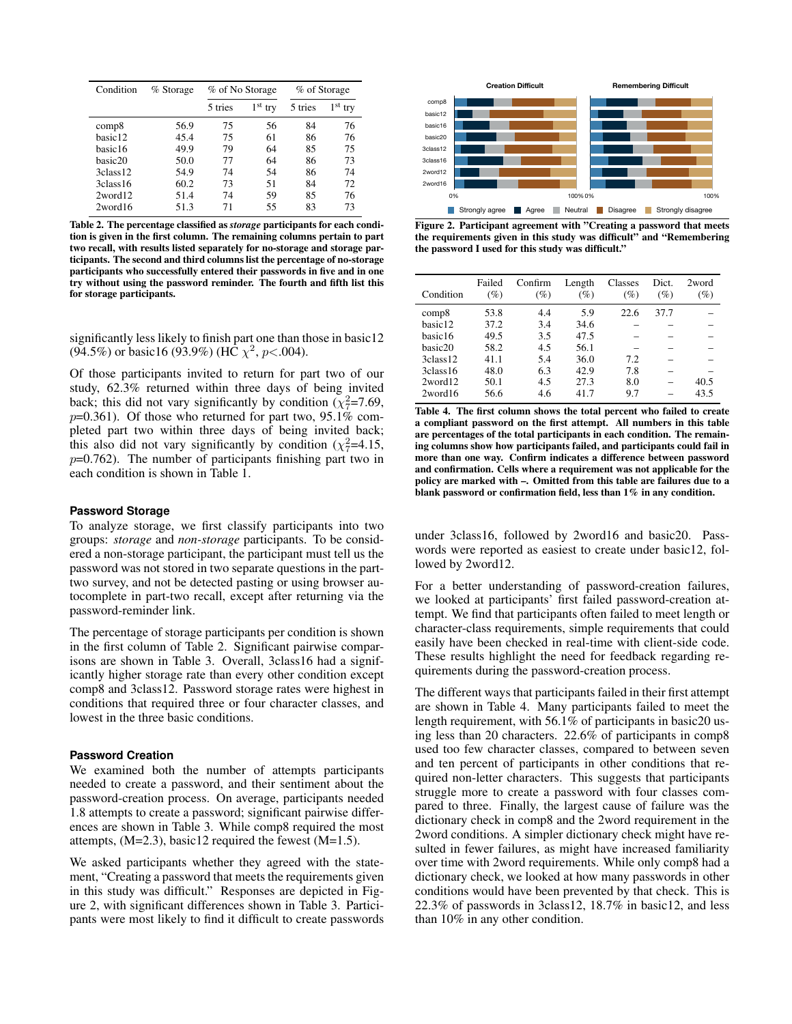| Condition | % Storage |         | % of No Storage | % of Storage |           |  |
|-----------|-----------|---------|-----------------|--------------|-----------|--|
|           |           | 5 tries | $1st$ try       | 5 tries      | $1st$ try |  |
| comp8     | 56.9      | 75      | 56              | 84           | 76        |  |
| basic12   | 45.4      | 75      | 61              | 86           | 76        |  |
| basic16   | 49.9      | 79      | 64              | 85           | 75        |  |
| basic20   | 50.0      | 77      | 64              | 86           | 73        |  |
| 3class12  | 54.9      | 74      | 54              | 86           | 74        |  |
| 3class16  | 60.2      | 73      | 51              | 84           | 72        |  |
| 2word12   | 51.4      | 74      | 59              | 85           | 76        |  |
| 2word16   | 51.3      | 71      | 55              | 83           | 73        |  |

<span id="page-4-0"></span>Table 2. The percentage classified as *storage* participants for each condition is given in the first column. The remaining columns pertain to part two recall, with results listed separately for no-storage and storage participants. The second and third columns list the percentage of no-storage participants who successfully entered their passwords in five and in one try without using the password reminder. The fourth and fifth list this for storage participants.

significantly less likely to finish part one than those in basic12  $(94.5\%)$  or basic16 (93.9%) (HC  $\chi^2$ , p<.004).

Of those participants invited to return for part two of our study, 62.3% returned within three days of being invited back; this did not vary significantly by condition  $(\chi^2$ =7.69,  $p=0.361$ ). Of those who returned for part two, 95.1% completed part two within three days of being invited back; this also did not vary significantly by condition ( $\chi^2$ =4.15,  $p=0.762$ ). The number of participants finishing part two in each condition is shown in Table [1.](#page-3-0)

#### **Password Storage**

To analyze storage, we first classify participants into two groups: *storage* and *non-storage* participants. To be considered a non-storage participant, the participant must tell us the password was not stored in two separate questions in the parttwo survey, and not be detected pasting or using browser autocomplete in part-two recall, except after returning via the password-reminder link.

The percentage of storage participants per condition is shown in the first column of Table [2.](#page-4-0) Significant pairwise comparisons are shown in Table [3.](#page-5-0) Overall, 3class16 had a significantly higher storage rate than every other condition except comp8 and 3class12. Password storage rates were highest in conditions that required three or four character classes, and lowest in the three basic conditions.

## **Password Creation**

We examined both the number of attempts participants needed to create a password, and their sentiment about the password-creation process. On average, participants needed 1.8 attempts to create a password; significant pairwise differences are shown in Table [3.](#page-5-0) While comp8 required the most attempts, (M=2.3), basic12 required the fewest (M=1.5).

We asked participants whether they agreed with the statement, "Creating a password that meets the requirements given in this study was difficult." Responses are depicted in Figure [2,](#page-4-1) with significant differences shown in Table [3.](#page-5-0) Participants were most likely to find it difficult to create passwords



<span id="page-4-1"></span>Figure 2. Participant agreement with "Creating a password that meets the requirements given in this study was difficult" and "Remembering the password I used for this study was difficult."

| Condition     | Failed<br>$(\%)$ | Confirm<br>$(\%)$ | Length<br>(%) | Classes<br>$(\%)$ | Dict.<br>$(\%)$ | 2word<br>$(\%)$ |
|---------------|------------------|-------------------|---------------|-------------------|-----------------|-----------------|
| comp8         | 53.8             | 4.4               | 5.9           | 22.6              | 37.7            |                 |
| basic12       | 37.2             | 3.4               | 34.6          |                   |                 |                 |
| basic16       | 49.5             | 3.5               | 47.5          |                   |                 |                 |
| basic20       | 58.2             | 4.5               | 56.1          |                   |                 |                 |
| 3class12      | 41.1             | 5.4               | 36.0          | 7.2               |                 |                 |
| 3class16      | 48.0             | 6.3               | 42.9          | 7.8               |                 |                 |
| $2$ word $12$ | 50.1             | 4.5               | 27.3          | 8.0               |                 | 40.5            |
| 2word16       | 56.6             | 4.6               | 41.7          | 9.7               |                 | 43.5            |

<span id="page-4-2"></span>Table 4. The first column shows the total percent who failed to create a compliant password on the first attempt. All numbers in this table are percentages of the total participants in each condition. The remaining columns show how participants failed, and participants could fail in more than one way. Confirm indicates a difference between password and confirmation. Cells where a requirement was not applicable for the policy are marked with –. Omitted from this table are failures due to a blank password or confirmation field, less than 1% in any condition.

under 3class16, followed by 2word16 and basic20. Passwords were reported as easiest to create under basic12, followed by 2word12.

For a better understanding of password-creation failures, we looked at participants' first failed password-creation attempt. We find that participants often failed to meet length or character-class requirements, simple requirements that could easily have been checked in real-time with client-side code. These results highlight the need for feedback regarding requirements during the password-creation process.

The different ways that participants failed in their first attempt are shown in Table [4.](#page-4-2) Many participants failed to meet the length requirement, with 56.1% of participants in basic20 using less than 20 characters. 22.6% of participants in comp8 used too few character classes, compared to between seven and ten percent of participants in other conditions that required non-letter characters. This suggests that participants struggle more to create a password with four classes compared to three. Finally, the largest cause of failure was the dictionary check in comp8 and the 2word requirement in the 2word conditions. A simpler dictionary check might have resulted in fewer failures, as might have increased familiarity over time with 2word requirements. While only comp8 had a dictionary check, we looked at how many passwords in other conditions would have been prevented by that check. This is 22.3% of passwords in 3class12, 18.7% in basic12, and less than 10% in any other condition.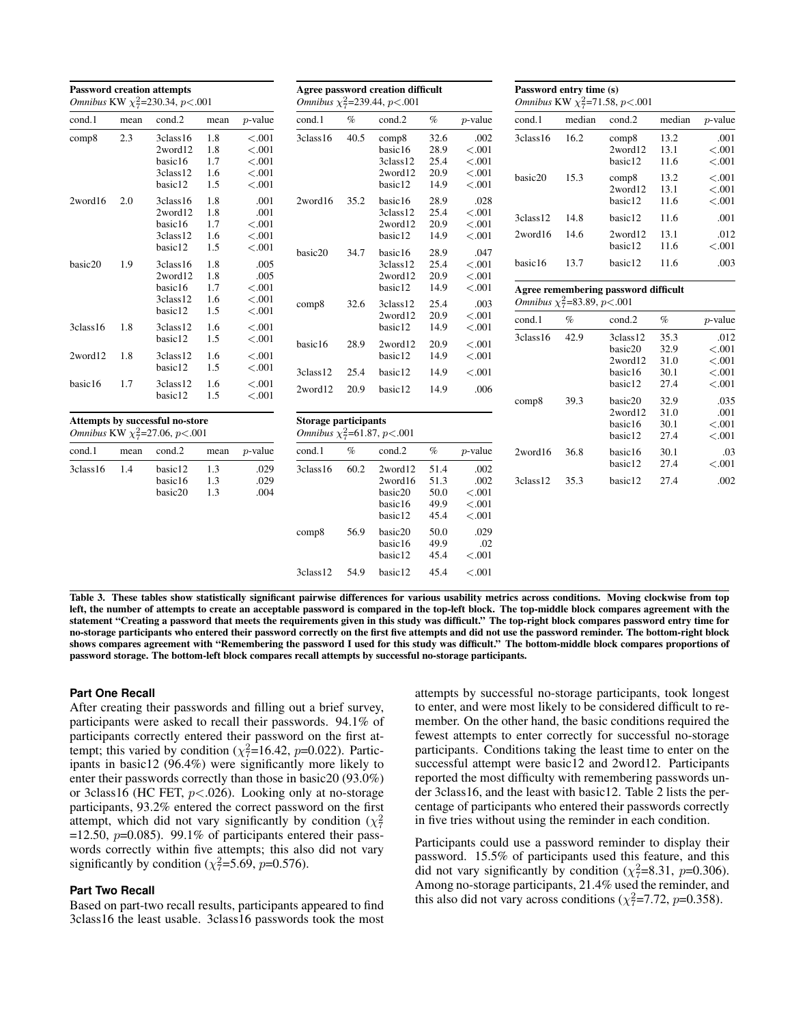| <b>Password creation attempts</b><br>Omnibus KW $\chi^2$ <sub>7</sub> =230.34, p<.001 |      |                                                                       | Agree password creation difficult<br>Omnibus $\chi^2$ =239.44, p<.001 |                                      |                             |      | Password entry time (s)<br>Omnibus KW $\chi^2_7$ =71.58, p<.001 |                                      |                                            |                                                                         |        |                               |                      |                           |
|---------------------------------------------------------------------------------------|------|-----------------------------------------------------------------------|-----------------------------------------------------------------------|--------------------------------------|-----------------------------|------|-----------------------------------------------------------------|--------------------------------------|--------------------------------------------|-------------------------------------------------------------------------|--------|-------------------------------|----------------------|---------------------------|
| cond.1                                                                                | mean | cond.2                                                                | mean                                                                  | $p$ -value                           | cond.1                      | $\%$ | cond.2                                                          | $\%$                                 | $p$ -value                                 | cond.1                                                                  | median | cond.2                        | median               | $p$ -value                |
| comp8                                                                                 | 2.3  | 3class16<br>2word12<br>basic16<br>3class12                            | 1.8<br>1.8<br>1.7<br>1.6                                              | < .001<br>< .001<br>< .001<br>< .001 | 3class16                    | 40.5 | comp8<br>basic16<br>3class12<br>2word12                         | 32.6<br>28.9<br>25.4<br>20.9         | .002<br>< .001<br>< .001<br>< .001         | 3class16                                                                | 16.2   | comp8<br>2word12<br>basic12   | 13.2<br>13.1<br>11.6 | .001<br>< .001<br>$<.001$ |
|                                                                                       |      | basic12                                                               | 1.5                                                                   | < .001                               |                             |      | basic12                                                         | 14.9                                 | < .001                                     | basic20                                                                 | 15.3   | comp8<br>2word12              | 13.2<br>13.1         | < .001<br>< .001          |
| 2word16                                                                               | 2.0  | 3class16<br>2word12<br>basic16                                        | 1.8<br>1.8<br>1.7                                                     | .001<br>.001<br>< 0.001              | 2word16                     | 35.2 | basic16<br>3class12<br>2word12                                  | 28.9<br>25.4<br>20.9                 | .028<br>< .001<br>< .001                   | 3class12                                                                | 14.8   | basic12<br>basic12            | 11.6<br>11.6         | < .001<br>.001            |
|                                                                                       |      | 3class12<br>basic12                                                   | 1.6<br>1.5                                                            | < .001<br>< .001                     | basic20                     | 34.7 | basic12<br>basic16                                              | 14.9<br>28.9                         | < .001<br>.047                             | 2word16                                                                 | 14.6   | 2word12<br>basic12            | 13.1<br>11.6         | .012<br>< 0.001           |
| basic20                                                                               | 1.9  | 3class16<br>2word12                                                   | 1.8<br>1.8                                                            | .005<br>.005                         |                             |      | 3class12<br>2word12                                             | 25.4<br>20.9                         | < .001<br>< .001                           | basic16                                                                 | 13.7   | basic12                       | 11.6                 | .003                      |
|                                                                                       |      | basic16<br>3class12                                                   | 1.7<br>1.6                                                            | < .001<br>< .001                     | comp8                       | 32.6 | basic12<br>3class12                                             | 14.9<br>25.4                         | < .001<br>.003                             | Agree remembering password difficult<br>Omnibus $\chi^2$ =83.89, p<.001 |        |                               |                      |                           |
| 3class16                                                                              | 1.8  | basic12<br>3class12                                                   | 1.5<br>1.6                                                            | < .001<br>< .001                     |                             |      | 2word12<br>basic12                                              | 20.9<br>14.9                         | < .001<br>< .001                           | cond.1                                                                  | $\%$   | cond.2                        | $\%$                 | $p$ -value                |
|                                                                                       |      | basic12                                                               | 1.5                                                                   | < .001                               | basic16                     | 28.9 | 2word12                                                         | 20.9                                 | < .001                                     | 3class16                                                                | 42.9   | 3class12<br>basic20           | 35.3<br>32.9         | .012<br>< .001            |
| 2word12                                                                               | 1.8  | 3class12<br>basic12                                                   | 1.6<br>1.5                                                            | < .001<br>< .001                     | 3class12                    | 25.4 | basic12<br>basic12                                              | 14.9<br>14.9                         | < .001<br>< .001                           |                                                                         |        | 2word12<br>basic16            | 31.0<br>30.1         | < .001<br>$<.001$         |
| basic16                                                                               | 1.7  | 3class12<br>basic12                                                   | 1.6<br>1.5                                                            | < .001<br>< .001                     | 2word12                     | 20.9 | basic12                                                         | 14.9                                 | .006                                       | comp8                                                                   | 39.3   | basic12<br>basic20            | 27.4<br>32.9         | < .001<br>.035            |
|                                                                                       |      | Attempts by successful no-store<br>Omnibus KW $\chi^2$ =27.06, p<.001 |                                                                       |                                      | <b>Storage participants</b> |      | Omnibus $\chi^2$ =61.87, p<.001                                 |                                      |                                            |                                                                         |        | 2word12<br>basic16<br>basic12 | 31.0<br>30.1<br>27.4 | .001<br>$<.001$<br>< .001 |
| cond.1                                                                                | mean | cond.2                                                                | mean                                                                  | $p$ -value                           | cond.1                      | $\%$ | cond.2                                                          | $\%$                                 | $p$ -value                                 | 2word16                                                                 | 36.8   | basic16                       | 30.1                 | .03                       |
| 3class16                                                                              | 1.4  | basic12<br>basic16<br>basic20                                         | 1.3<br>1.3<br>1.3                                                     | .029<br>.029<br>.004                 | 3class16                    | 60.2 | 2word12<br>2word16<br>basic20<br>basic16<br>basic12             | 51.4<br>51.3<br>50.0<br>49.9<br>45.4 | .002<br>.002<br>< .001<br>< .001<br>< .001 | 3class12                                                                | 35.3   | basic12<br>basic12            | 27.4<br>27.4         | < .001<br>.002            |
|                                                                                       |      |                                                                       |                                                                       |                                      | comp8                       | 56.9 | basic20<br>basic16<br>basic12                                   | 50.0<br>49.9<br>45.4                 | .029<br>.02<br>< .001                      |                                                                         |        |                               |                      |                           |
|                                                                                       |      |                                                                       |                                                                       |                                      | 3class12                    | 54.9 | basic12                                                         | 45.4                                 | < .001                                     |                                                                         |        |                               |                      |                           |

<span id="page-5-0"></span>Table 3. These tables show statistically significant pairwise differences for various usability metrics across conditions. Moving clockwise from top left, the number of attempts to create an acceptable password is compared in the top-left block. The top-middle block compares agreement with the statement "Creating a password that meets the requirements given in this study was difficult." The top-right block compares password entry time for no-storage participants who entered their password correctly on the first five attempts and did not use the password reminder. The bottom-right block shows compares agreement with "Remembering the password I used for this study was difficult." The bottom-middle block compares proportions of password storage. The bottom-left block compares recall attempts by successful no-storage participants.

# **Part One Recall**

After creating their passwords and filling out a brief survey, participants were asked to recall their passwords. 94.1% of participants correctly entered their password on the first attempt; this varied by condition ( $\chi^2$ =16.42, p=0.022). Participants in basic12 (96.4%) were significantly more likely to enter their passwords correctly than those in basic20 (93.0%) or 3class16 (HC FET,  $p < .026$ ). Looking only at no-storage participants, 93.2% entered the correct password on the first attempt, which did not vary significantly by condition  $(\chi^2_7)$  $=12.50, p=0.085$ . 99.1% of participants entered their passwords correctly within five attempts; this also did not vary significantly by condition ( $\chi^2$ =5.69, p=0.576).

# **Part Two Recall**

Based on part-two recall results, participants appeared to find 3class16 the least usable. 3class16 passwords took the most attempts by successful no-storage participants, took longest to enter, and were most likely to be considered difficult to remember. On the other hand, the basic conditions required the fewest attempts to enter correctly for successful no-storage participants. Conditions taking the least time to enter on the successful attempt were basic12 and 2word12. Participants reported the most difficulty with remembering passwords under 3class16, and the least with basic12. Table [2](#page-4-0) lists the percentage of participants who entered their passwords correctly in five tries without using the reminder in each condition.

Participants could use a password reminder to display their password. 15.5% of participants used this feature, and this did not vary significantly by condition ( $\chi^2$ =8.31, p=0.306). Among no-storage participants, 21.4% used the reminder, and this also did not vary across conditions ( $\chi^2$ =7.72, p=0.358).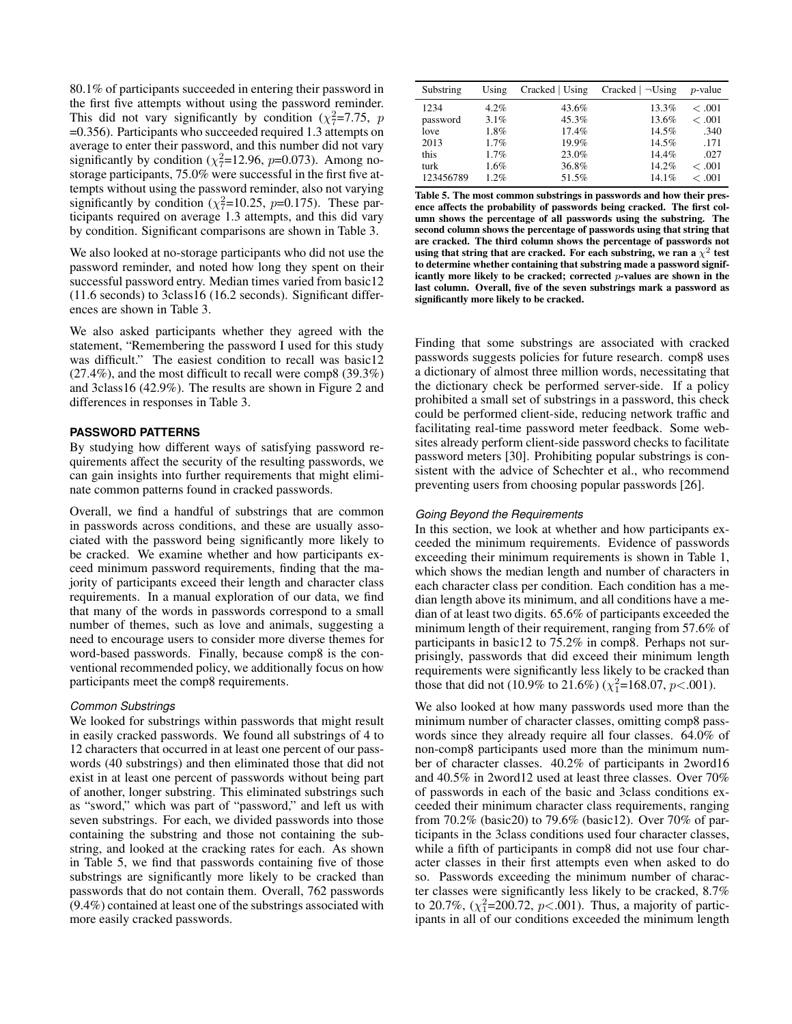80.1% of participants succeeded in entering their password in the first five attempts without using the password reminder. This did not vary significantly by condition ( $\chi^2$ =7.75, p =0.356). Participants who succeeded required 1.3 attempts on average to enter their password, and this number did not vary significantly by condition ( $\chi^2$ =12.96, p=0.073). Among nostorage participants, 75.0% were successful in the first five attempts without using the password reminder, also not varying significantly by condition ( $\chi^2$ =10.25, p=0.175). These participants required on average 1.3 attempts, and this did vary by condition. Significant comparisons are shown in Table [3.](#page-5-0)

We also looked at no-storage participants who did not use the password reminder, and noted how long they spent on their successful password entry. Median times varied from basic12 (11.6 seconds) to 3class16 (16.2 seconds). Significant differences are shown in Table [3.](#page-5-0)

We also asked participants whether they agreed with the statement, "Remembering the password I used for this study was difficult." The easiest condition to recall was basic12 (27.4%), and the most difficult to recall were comp8 (39.3%) and 3class16 (42.9%). The results are shown in Figure [2](#page-4-1) and differences in responses in Table [3.](#page-5-0)

## **PASSWORD PATTERNS**

By studying how different ways of satisfying password requirements affect the security of the resulting passwords, we can gain insights into further requirements that might eliminate common patterns found in cracked passwords.

Overall, we find a handful of substrings that are common in passwords across conditions, and these are usually associated with the password being significantly more likely to be cracked. We examine whether and how participants exceed minimum password requirements, finding that the majority of participants exceed their length and character class requirements. In a manual exploration of our data, we find that many of the words in passwords correspond to a small number of themes, such as love and animals, suggesting a need to encourage users to consider more diverse themes for word-based passwords. Finally, because comp8 is the conventional recommended policy, we additionally focus on how participants meet the comp8 requirements.

#### *Common Substrings*

We looked for substrings within passwords that might result in easily cracked passwords. We found all substrings of 4 to 12 characters that occurred in at least one percent of our passwords (40 substrings) and then eliminated those that did not exist in at least one percent of passwords without being part of another, longer substring. This eliminated substrings such as "sword," which was part of "password," and left us with seven substrings. For each, we divided passwords into those containing the substring and those not containing the substring, and looked at the cracking rates for each. As shown in Table [5,](#page-6-0) we find that passwords containing five of those substrings are significantly more likely to be cracked than passwords that do not contain them. Overall, 762 passwords (9.4%) contained at least one of the substrings associated with more easily cracked passwords.

| Substring | Using | Cracked   Using | Cracked $  \neg$ Using | $p$ -value |
|-----------|-------|-----------------|------------------------|------------|
| 1234      | 4.2%  | 43.6%           | 13.3%                  | < 0.001    |
| password  | 3.1%  | 45.3%           | 13.6%                  | < 0.001    |
| love      | 1.8%  | 17.4%           | 14.5%                  | .340       |
| 2013      | 1.7%  | 19.9%           | 14.5%                  | .171       |
| this      | 1.7%  | 23.0%           | 14.4%                  | .027       |
| turk      | 1.6%  | 36.8%           | 14.2%                  | < 0.001    |
| 123456789 | 1.2%  | 51.5%           | 14.1%                  | < 0.001    |

<span id="page-6-0"></span>Table 5. The most common substrings in passwords and how their presence affects the probability of passwords being cracked. The first column shows the percentage of all passwords using the substring. The second column shows the percentage of passwords using that string that are cracked. The third column shows the percentage of passwords not using that string that are cracked. For each substring, we ran a  $\chi^2$  test to determine whether containing that substring made a password significantly more likely to be cracked; corrected  $p$ -values are shown in the last column. Overall, five of the seven substrings mark a password as significantly more likely to be cracked.

Finding that some substrings are associated with cracked passwords suggests policies for future research. comp8 uses a dictionary of almost three million words, necessitating that the dictionary check be performed server-side. If a policy prohibited a small set of substrings in a password, this check could be performed client-side, reducing network traffic and facilitating real-time password meter feedback. Some websites already perform client-side password checks to facilitate password meters [\[30\]](#page-9-23). Prohibiting popular substrings is consistent with the advice of Schechter et al., who recommend preventing users from choosing popular passwords [\[26\]](#page-9-28).

#### *Going Beyond the Requirements*

In this section, we look at whether and how participants exceeded the minimum requirements. Evidence of passwords exceeding their minimum requirements is shown in Table [1,](#page-3-0) which shows the median length and number of characters in each character class per condition. Each condition has a median length above its minimum, and all conditions have a median of at least two digits. 65.6% of participants exceeded the minimum length of their requirement, ranging from 57.6% of participants in basic12 to 75.2% in comp8. Perhaps not surprisingly, passwords that did exceed their minimum length requirements were significantly less likely to be cracked than those that did not (10.9% to 21.6%) ( $\chi_1^2$ =168.07, p<.001).

We also looked at how many passwords used more than the minimum number of character classes, omitting comp8 passwords since they already require all four classes. 64.0% of non-comp8 participants used more than the minimum number of character classes. 40.2% of participants in 2word16 and 40.5% in 2word12 used at least three classes. Over 70% of passwords in each of the basic and 3class conditions exceeded their minimum character class requirements, ranging from 70.2% (basic20) to 79.6% (basic12). Over 70% of participants in the 3class conditions used four character classes, while a fifth of participants in comp8 did not use four character classes in their first attempts even when asked to do so. Passwords exceeding the minimum number of character classes were significantly less likely to be cracked, 8.7% to 20.7%,  $(\chi_1^2=200.72, p<.001)$ . Thus, a majority of participants in all of our conditions exceeded the minimum length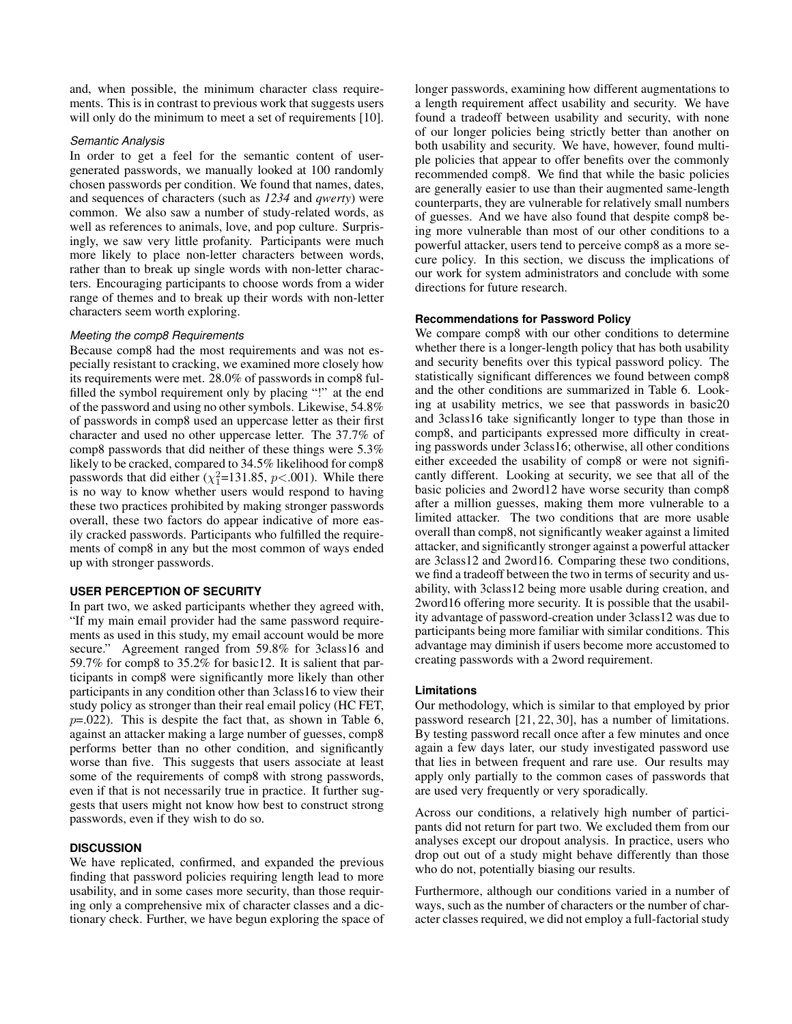and, when possible, the minimum character class requirements. This is in contrast to previous work that suggests users will only do the minimum to meet a set of requirements [\[10\]](#page-9-20).

#### *Semantic Analysis*

In order to get a feel for the semantic content of usergenerated passwords, we manually looked at 100 randomly chosen passwords per condition. We found that names, dates, and sequences of characters (such as *1234* and *qwerty*) were common. We also saw a number of study-related words, as well as references to animals, love, and pop culture. Surprisingly, we saw very little profanity. Participants were much more likely to place non-letter characters between words, rather than to break up single words with non-letter characters. Encouraging participants to choose words from a wider range of themes and to break up their words with non-letter characters seem worth exploring.

## *Meeting the comp8 Requirements*

Because comp8 had the most requirements and was not especially resistant to cracking, we examined more closely how its requirements were met. 28.0% of passwords in comp8 fulfilled the symbol requirement only by placing "!" at the end of the password and using no other symbols. Likewise, 54.8% of passwords in comp8 used an uppercase letter as their first character and used no other uppercase letter. The 37.7% of comp8 passwords that did neither of these things were 5.3% likely to be cracked, compared to 34.5% likelihood for comp8 passwords that did either  $(\chi_1^2=131.85, p<.001)$ . While there is no way to know whether users would respond to having these two practices prohibited by making stronger passwords overall, these two factors do appear indicative of more easily cracked passwords. Participants who fulfilled the requirements of comp8 in any but the most common of ways ended up with stronger passwords.

# **USER PERCEPTION OF SECURITY**

In part two, we asked participants whether they agreed with, "If my main email provider had the same password requirements as used in this study, my email account would be more secure." Agreement ranged from 59.8% for 3class16 and 59.7% for comp8 to 35.2% for basic12. It is salient that participants in comp8 were significantly more likely than other participants in any condition other than 3class16 to view their study policy as stronger than their real email policy (HC FET,  $p=0.022$ ). This is despite the fact that, as shown in Table [6,](#page-8-4) against an attacker making a large number of guesses, comp8 performs better than no other condition, and significantly worse than five. This suggests that users associate at least some of the requirements of comp8 with strong passwords, even if that is not necessarily true in practice. It further suggests that users might not know how best to construct strong passwords, even if they wish to do so.

#### **DISCUSSION**

We have replicated, confirmed, and expanded the previous finding that password policies requiring length lead to more usability, and in some cases more security, than those requiring only a comprehensive mix of character classes and a dictionary check. Further, we have begun exploring the space of longer passwords, examining how different augmentations to a length requirement affect usability and security. We have found a tradeoff between usability and security, with none of our longer policies being strictly better than another on both usability and security. We have, however, found multiple policies that appear to offer benefits over the commonly recommended comp8. We find that while the basic policies are generally easier to use than their augmented same-length counterparts, they are vulnerable for relatively small numbers of guesses. And we have also found that despite comp8 being more vulnerable than most of our other conditions to a powerful attacker, users tend to perceive comp8 as a more secure policy. In this section, we discuss the implications of our work for system administrators and conclude with some directions for future research.

## **Recommendations for Password Policy**

We compare comp8 with our other conditions to determine whether there is a longer-length policy that has both usability and security benefits over this typical password policy. The statistically significant differences we found between comp8 and the other conditions are summarized in Table [6.](#page-8-4) Looking at usability metrics, we see that passwords in basic20 and 3class16 take significantly longer to type than those in comp8, and participants expressed more difficulty in creating passwords under 3class16; otherwise, all other conditions either exceeded the usability of comp8 or were not significantly different. Looking at security, we see that all of the basic policies and 2word12 have worse security than comp8 after a million guesses, making them more vulnerable to a limited attacker. The two conditions that are more usable overall than comp8, not significantly weaker against a limited attacker, and significantly stronger against a powerful attacker are 3class12 and 2word16. Comparing these two conditions, we find a tradeoff between the two in terms of security and usability, with 3class12 being more usable during creation, and 2word16 offering more security. It is possible that the usability advantage of password-creation under 3class12 was due to participants being more familiar with similar conditions. This advantage may diminish if users become more accustomed to creating passwords with a 2word requirement.

# **Limitations**

Our methodology, which is similar to that employed by prior password research [\[21,](#page-9-2) [22,](#page-9-3) [30\]](#page-9-23), has a number of limitations. By testing password recall once after a few minutes and once again a few days later, our study investigated password use that lies in between frequent and rare use. Our results may apply only partially to the common cases of passwords that are used very frequently or very sporadically.

Across our conditions, a relatively high number of participants did not return for part two. We excluded them from our analyses except our dropout analysis. In practice, users who drop out out of a study might behave differently than those who do not, potentially biasing our results.

Furthermore, although our conditions varied in a number of ways, such as the number of characters or the number of character classes required, we did not employ a full-factorial study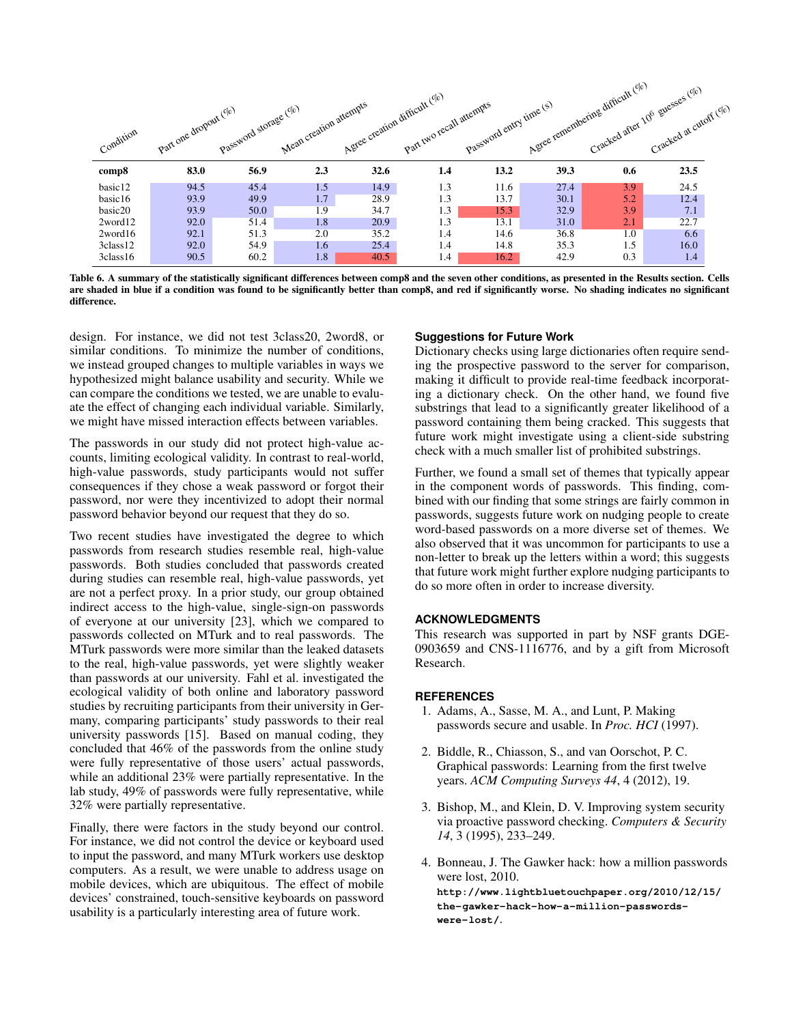

<span id="page-8-4"></span>Table 6. A summary of the statistically significant differences between comp8 and the seven other conditions, as presented in the Results section. Cells are shaded in blue if a condition was found to be significantly better than comp8, and red if significantly worse. No shading indicates no significant difference.

design. For instance, we did not test 3class20, 2word8, or similar conditions. To minimize the number of conditions, we instead grouped changes to multiple variables in ways we hypothesized might balance usability and security. While we can compare the conditions we tested, we are unable to evaluate the effect of changing each individual variable. Similarly, we might have missed interaction effects between variables.

The passwords in our study did not protect high-value accounts, limiting ecological validity. In contrast to real-world, high-value passwords, study participants would not suffer consequences if they chose a weak password or forgot their password, nor were they incentivized to adopt their normal password behavior beyond our request that they do so.

Two recent studies have investigated the degree to which passwords from research studies resemble real, high-value passwords. Both studies concluded that passwords created during studies can resemble real, high-value passwords, yet are not a perfect proxy. In a prior study, our group obtained indirect access to the high-value, single-sign-on passwords of everyone at our university [\[23\]](#page-9-29), which we compared to passwords collected on MTurk and to real passwords. The MTurk passwords were more similar than the leaked datasets to the real, high-value passwords, yet were slightly weaker than passwords at our university. Fahl et al. investigated the ecological validity of both online and laboratory password studies by recruiting participants from their university in Germany, comparing participants' study passwords to their real university passwords [\[15\]](#page-9-30). Based on manual coding, they concluded that 46% of the passwords from the online study were fully representative of those users' actual passwords, while an additional 23% were partially representative. In the lab study, 49% of passwords were fully representative, while 32% were partially representative.

Finally, there were factors in the study beyond our control. For instance, we did not control the device or keyboard used to input the password, and many MTurk workers use desktop computers. As a result, we were unable to address usage on mobile devices, which are ubiquitous. The effect of mobile devices' constrained, touch-sensitive keyboards on password usability is a particularly interesting area of future work.

#### **Suggestions for Future Work**

Dictionary checks using large dictionaries often require sending the prospective password to the server for comparison, making it difficult to provide real-time feedback incorporating a dictionary check. On the other hand, we found five substrings that lead to a significantly greater likelihood of a password containing them being cracked. This suggests that future work might investigate using a client-side substring check with a much smaller list of prohibited substrings.

Further, we found a small set of themes that typically appear in the component words of passwords. This finding, combined with our finding that some strings are fairly common in passwords, suggests future work on nudging people to create word-based passwords on a more diverse set of themes. We also observed that it was uncommon for participants to use a non-letter to break up the letters within a word; this suggests that future work might further explore nudging participants to do so more often in order to increase diversity.

#### **ACKNOWLEDGMENTS**

This research was supported in part by NSF grants DGE-0903659 and CNS-1116776, and by a gift from Microsoft Research.

# <span id="page-8-3"></span>**REFERENCES**

- 1. Adams, A., Sasse, M. A., and Lunt, P. Making passwords secure and usable. In *Proc. HCI* (1997).
- <span id="page-8-1"></span>2. Biddle, R., Chiasson, S., and van Oorschot, P. C. Graphical passwords: Learning from the first twelve years. *ACM Computing Surveys 44*, 4 (2012), 19.
- <span id="page-8-2"></span>3. Bishop, M., and Klein, D. V. Improving system security via proactive password checking. *Computers & Security 14*, 3 (1995), 233–249.
- <span id="page-8-0"></span>4. Bonneau, J. The Gawker hack: how a million passwords were lost, 2010. **[http://www.lightbluetouchpaper.org/2010/12/15/](http://www.lightbluetouchpaper.org/2010/12/15/the-gawker-hack-how-a-million-passwords-)**

**[the-gawker-hack-how-a-million-passwords](http://www.lightbluetouchpaper.org/2010/12/15/the-gawker-hack-how-a-million-passwords-)<were-lost/>**.